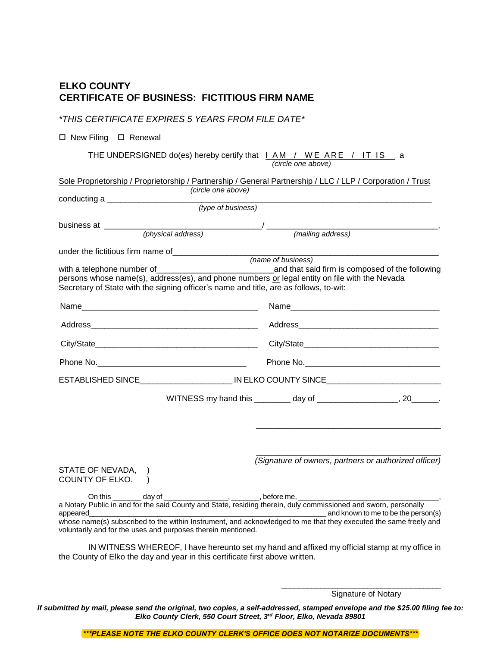# **ELKO COUNTY CERTIFICATE OF BUSINESS: FICTITIOUS FIRM NAME**

## *\*THIS CERTIFICATE EXPIRES 5 YEARS FROM FILE DATE\**

#### $\square$  New Filing  $\square$  Renewal

THE UNDERSIGNED do(es) hereby certify that  $I$  AM / WE ARE / IT IS a

| (circle one above) |  |
|--------------------|--|
|                    |  |

| Sole Proprietorship / Proprietorship / Partnership / General Partnership / LLC / LLP / Corporation / Trust                                                                                                                                                                                                      |                                                                         |
|-----------------------------------------------------------------------------------------------------------------------------------------------------------------------------------------------------------------------------------------------------------------------------------------------------------------|-------------------------------------------------------------------------|
| (circle one above)                                                                                                                                                                                                                                                                                              |                                                                         |
| (type of business)                                                                                                                                                                                                                                                                                              |                                                                         |
| business at _________                                                                                                                                                                                                                                                                                           |                                                                         |
|                                                                                                                                                                                                                                                                                                                 | $(h)$ ysical address) $(m)$ (mailing address)                           |
|                                                                                                                                                                                                                                                                                                                 |                                                                         |
| persons whose name(s), address(es), and phone numbers or legal entity on file with the Nevada<br>Secretary of State with the signing officer's name and title, are as follows, to-wit:                                                                                                                          | (name of business)<br>and that said firm is composed of the following   |
|                                                                                                                                                                                                                                                                                                                 |                                                                         |
|                                                                                                                                                                                                                                                                                                                 |                                                                         |
|                                                                                                                                                                                                                                                                                                                 |                                                                         |
|                                                                                                                                                                                                                                                                                                                 |                                                                         |
| ESTABLISHED SINCE_____________________________IN ELKO COUNTY SINCE_______________                                                                                                                                                                                                                               |                                                                         |
|                                                                                                                                                                                                                                                                                                                 | WITNESS my hand this _________ day of _____________________, 20_______. |
| STATE OF NEVADA,<br>COUNTY OF ELKO. )<br>On this day of                                                                                                                                                                                                                                                         | (Signature of owners, partners or authorized officer)                   |
| a Notary Public in and for the said County and State, residing therein, duly commissioned and sworn, personally<br>appeared<br>whose name(s) subscribed to the within Instrument, and acknowledged to me that they executed the same freely and<br>voluntarily and for the uses and purposes therein mentioned. | and known to me to be the person(s)                                     |

IN WITNESS WHEREOF, I have hereunto set my hand and affixed my official stamp at my office in the County of Elko the day and year in this certificate first above written.

> \_\_\_\_\_\_\_\_\_\_\_\_\_\_\_\_\_\_\_\_\_\_\_\_\_\_\_\_\_\_\_\_\_\_\_\_\_ Signature of Notary

*If submitted by mail, please send the original, two copies, a self-addressed, stamped envelope and the \$25.00 filing fee to: Elko County Clerk, 550 Court Street, 3 rd Floor, Elko, Nevada 89801*